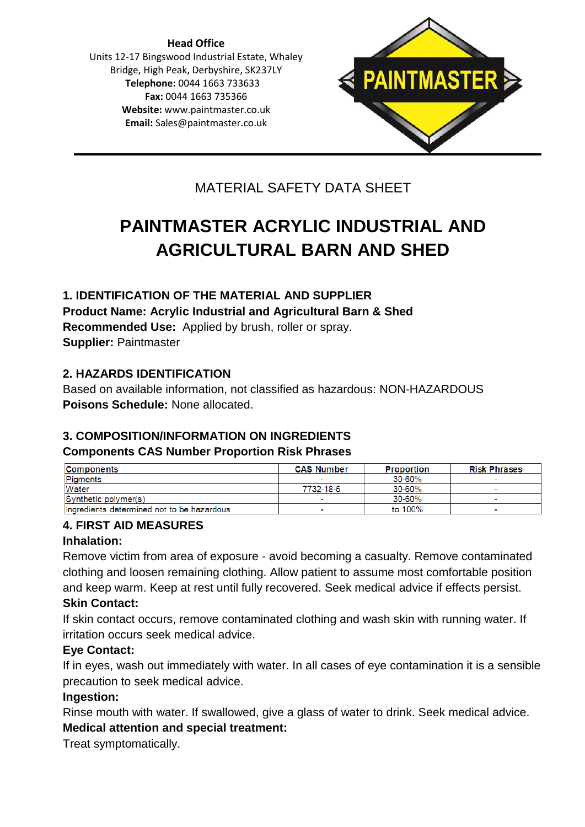**Head Office** Units 12-17 Bingswood Industrial Estate, Whaley Bridge, High Peak, Derbyshire, SK237LY **Telephone:** 0044 1663 733633 **Fax:** 0044 1663 735366 **Website:** [www.paintmaster.co.uk](http://www.paintmaster.co.uk/) **Email:** Sales@paintmaster.co.uk



# MATERIAL SAFETY DATA SHEET

# **PAINTMASTER ACRYLIC INDUSTRIAL AND AGRICULTURAL BARN AND SHED**

# **1. IDENTIFICATION OF THE MATERIAL AND SUPPLIER Product Name: Acrylic Industrial and Agricultural Barn & Shed Recommended Use:** Applied by brush, roller or spray. **Supplier:** Paintmaster

#### **2. HAZARDS IDENTIFICATION**

Based on available information, not classified as hazardous: NON-HAZARDOUS **Poisons Schedule:** None allocated.

# **3. COMPOSITION/INFORMATION ON INGREDIENTS**

#### **Components CAS Number Proportion Risk Phrases**

| Components                                 | <b>CAS Number</b>        | <b>Proportion</b> | <b>Risk Phrases</b>      |
|--------------------------------------------|--------------------------|-------------------|--------------------------|
| Pigments                                   |                          | 30-60%            |                          |
| Water                                      | 7732-18-5                | 30-60%            | $\overline{\phantom{a}}$ |
| Synthetic polymers                         | $\overline{\phantom{a}}$ | 30-60%            |                          |
| Ingredients determined not to be hazardous | $\overline{\phantom{a}}$ | to 100%           |                          |

# **4. FIRST AID MEASURES**

#### **Inhalation:**

Remove victim from area of exposure - avoid becoming a casualty. Remove contaminated clothing and loosen remaining clothing. Allow patient to assume most comfortable position and keep warm. Keep at rest until fully recovered. Seek medical advice if effects persist. **Skin Contact:**

If skin contact occurs, remove contaminated clothing and wash skin with running water. If irritation occurs seek medical advice.

# **Eye Contact:**

If in eyes, wash out immediately with water. In all cases of eye contamination it is a sensible precaution to seek medical advice.

#### **Ingestion:**

Rinse mouth with water. If swallowed, give a glass of water to drink. Seek medical advice.

# **Medical attention and special treatment:**

Treat symptomatically.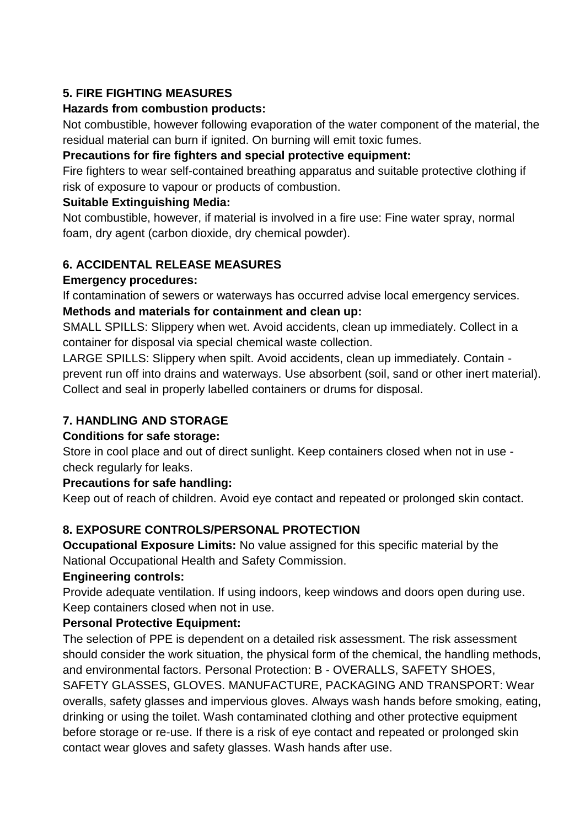# **5. FIRE FIGHTING MEASURES**

### **Hazards from combustion products:**

Not combustible, however following evaporation of the water component of the material, the residual material can burn if ignited. On burning will emit toxic fumes.

#### **Precautions for fire fighters and special protective equipment:**

Fire fighters to wear self-contained breathing apparatus and suitable protective clothing if risk of exposure to vapour or products of combustion.

#### **Suitable Extinguishing Media:**

Not combustible, however, if material is involved in a fire use: Fine water spray, normal foam, dry agent (carbon dioxide, dry chemical powder).

# **6. ACCIDENTAL RELEASE MEASURES**

#### **Emergency procedures:**

If contamination of sewers or waterways has occurred advise local emergency services.

# **Methods and materials for containment and clean up:**

SMALL SPILLS: Slippery when wet. Avoid accidents, clean up immediately. Collect in a container for disposal via special chemical waste collection.

LARGE SPILLS: Slippery when spilt. Avoid accidents, clean up immediately. Contain prevent run off into drains and waterways. Use absorbent (soil, sand or other inert material). Collect and seal in properly labelled containers or drums for disposal.

# **7. HANDLING AND STORAGE**

# **Conditions for safe storage:**

Store in cool place and out of direct sunlight. Keep containers closed when not in use check regularly for leaks.

# **Precautions for safe handling:**

Keep out of reach of children. Avoid eye contact and repeated or prolonged skin contact.

# **8. EXPOSURE CONTROLS/PERSONAL PROTECTION**

**Occupational Exposure Limits:** No value assigned for this specific material by the National Occupational Health and Safety Commission.

#### **Engineering controls:**

Provide adequate ventilation. If using indoors, keep windows and doors open during use. Keep containers closed when not in use.

# **Personal Protective Equipment:**

The selection of PPE is dependent on a detailed risk assessment. The risk assessment should consider the work situation, the physical form of the chemical, the handling methods, and environmental factors. Personal Protection: B - OVERALLS, SAFETY SHOES, SAFETY GLASSES, GLOVES. MANUFACTURE, PACKAGING AND TRANSPORT: Wear overalls, safety glasses and impervious gloves. Always wash hands before smoking, eating, drinking or using the toilet. Wash contaminated clothing and other protective equipment before storage or re-use. If there is a risk of eye contact and repeated or prolonged skin contact wear gloves and safety glasses. Wash hands after use.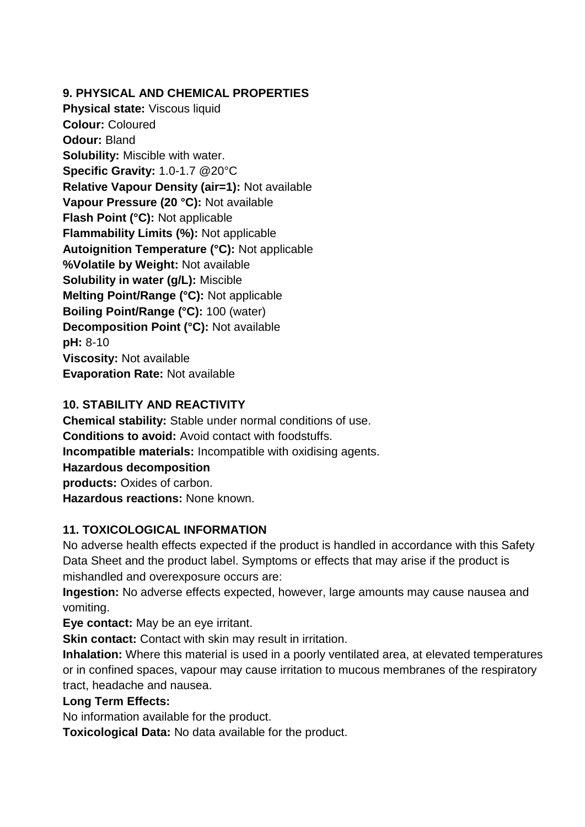**9. PHYSICAL AND CHEMICAL PROPERTIES**

**Physical state:** Viscous liquid **Colour:** Coloured **Odour:** Bland **Solubility:** Miscible with water. **Specific Gravity:** 1.0-1.7 @20°C **Relative Vapour Density (air=1):** Not available **Vapour Pressure (20 °C):** Not available **Flash Point (°C):** Not applicable **Flammability Limits (%):** Not applicable **Autoignition Temperature (°C):** Not applicable **%Volatile by Weight:** Not available **Solubility in water (g/L):** Miscible **Melting Point/Range (°C):** Not applicable **Boiling Point/Range (°C):** 100 (water) **Decomposition Point (°C):** Not available **pH:** 8-10 **Viscosity:** Not available **Evaporation Rate:** Not available

# **10. STABILITY AND REACTIVITY**

**Chemical stability:** Stable under normal conditions of use. **Conditions to avoid:** Avoid contact with foodstuffs. **Incompatible materials:** Incompatible with oxidising agents. **Hazardous decomposition products:** Oxides of carbon. **Hazardous reactions:** None known.

# **11. TOXICOLOGICAL INFORMATION**

No adverse health effects expected if the product is handled in accordance with this Safety Data Sheet and the product label. Symptoms or effects that may arise if the product is mishandled and overexposure occurs are:

**Ingestion:** No adverse effects expected, however, large amounts may cause nausea and vomiting.

**Eye contact:** May be an eye irritant.

**Skin contact:** Contact with skin may result in irritation.

**Inhalation:** Where this material is used in a poorly ventilated area, at elevated temperatures or in confined spaces, vapour may cause irritation to mucous membranes of the respiratory tract, headache and nausea.

# **Long Term Effects:**

No information available for the product.

**Toxicological Data:** No data available for the product.